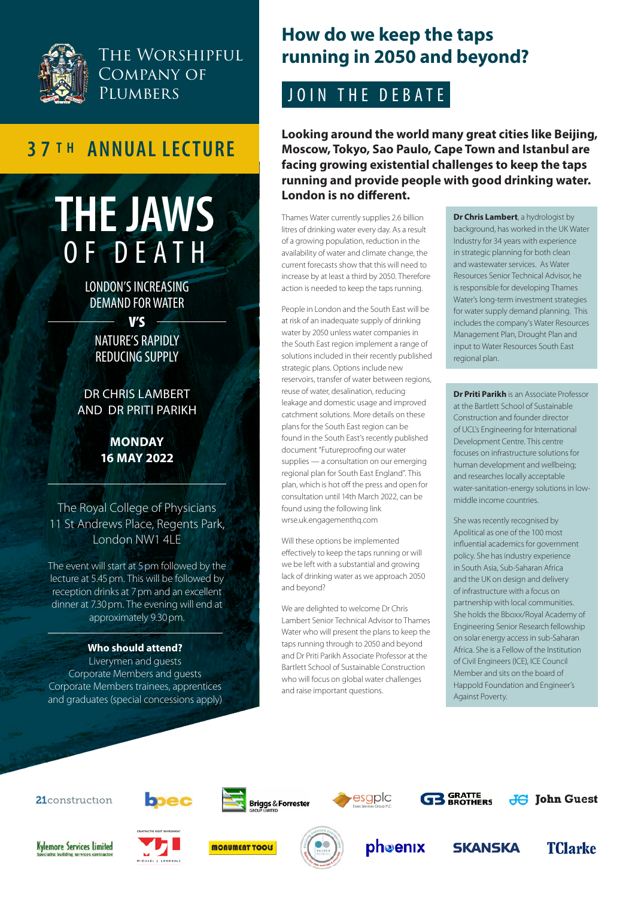

## THE WORSHIPFUL Company of **PLUMBERS**

# **3 7 T H ANNUAL LECTURE**

# **THE JAWS**  OF DEATH

LONDON'S INCREASING DEMAND FOR WATER

V'S

### NATURE'S RAPIDLY REDUCING SUPPLY

DR CHRIS LAMBERT AND DR PRITI PARIKH

#### **MONDAY 16 MAY 2022**

The Royal College of Physicians 11 St Andrews Place, Regents Park, London NW1 4LE

The event will start at 5pm followed by the lecture at 5.45 pm. This will be followed by reception drinks at 7 pm and an excellent dinner at 7.30 pm. The evening will end at approximately 9.30pm.

#### **Who should attend?**

Liverymen and guests Corporate Members and guests Corporate Members trainees, apprentices and graduates (special concessions apply)

## **How do we keep the taps running in 2050 and beyond?**

## JOIN THE DEBATE

**Looking around the world many great cities like Beijing, Moscow, Tokyo, Sao Paulo, Cape Town and Istanbul are facing growing existential challenges to keep the taps running and provide people with good drinking water. London is no different.**

Thames Water currently supplies 2.6 billion litres of drinking water every day. As a result of a growing population, reduction in the availability of water and climate change, the current forecasts show that this will need to increase by at least a third by 2050. Therefore action is needed to keep the taps running.

People in London and the South East will be at risk of an inadequate supply of drinking water by 2050 unless water companies in the South East region implement a range of solutions included in their recently published strategic plans. Options include new reservoirs, transfer of water between regions, reuse of water, desalination, reducing leakage and domestic usage and improved catchment solutions. More details on these plans for the South East region can be found in the South East's recently published document "Futureproofing our water supplies — a consultation on our emerging regional plan for South East England". This plan, which is hot off the press and open for consultation until 14th March 2022, can be found using the following link <wrse.uk.engagementhq.com>

Will these options be implemented effectively to keep the taps running or will we be left with a substantial and growing lack of drinking water as we approach 2050 and beyond?

We are delighted to welcome Dr Chris Lambert Senior Technical Advisor to Thames Water who will present the plans to keep the taps running through to 2050 and beyond and Dr Priti Parikh Associate Professor at the Bartlett School of Sustainable Construction who will focus on global water challenges and raise important questions.

**Dr Chris Lambert**, a hydrologist by background, has worked in the UK Water Industry for 34 years with experience in strategic planning for both clean and wastewater services. As Water Resources Senior Technical Advisor, he is responsible for developing Thames Water's long-term investment strategies for water supply demand planning. This includes the company's Water Resources Management Plan, Drought Plan and input to Water Resources South East regional plan.

**Dr Priti Parikh** is an Associate Professor at the Bartlett School of Sustainable Construction and founder director of UCL's Engineering for International Development Centre. This centre focuses on infrastructure solutions for human development and wellbeing; and researches locally acceptable water-sanitation-energy solutions in lowmiddle income countries.

She was recently recognised by Apolitical as one of the 100 most influential academics for government policy. She has industry experience in South Asia, Sub-Saharan Africa and the UK on design and delivery of infrastructure with a focus on partnership with local communities. She holds the Bboxx/Royal Academy of Engineering Senior Research fellowship on solar energy access in sub-Saharan Africa. She is a Fellow of the Institution of Civil Engineers (ICE), ICE Council Member and sits on the board of Happold Foundation and Engineer's Against Poverty.

21construction